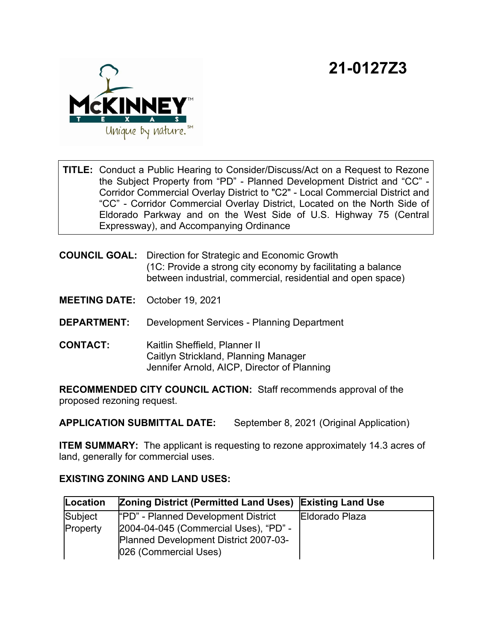## **21-0127Z3**



**TITLE:** Conduct a Public Hearing to Consider/Discuss/Act on a Request to Rezone the Subject Property from "PD" - Planned Development District and "CC" - Corridor Commercial Overlay District to "C2" - Local Commercial District and "CC" - Corridor Commercial Overlay District, Located on the North Side of Eldorado Parkway and on the West Side of U.S. Highway 75 (Central Expressway), and Accompanying Ordinance

**COUNCIL GOAL:** Direction for Strategic and Economic Growth (1C: Provide a strong city economy by facilitating a balance between industrial, commercial, residential and open space)

**MEETING DATE:** October 19, 2021

- **DEPARTMENT:** Development Services Planning Department
- **CONTACT:** Kaitlin Sheffield, Planner II Caitlyn Strickland, Planning Manager Jennifer Arnold, AICP, Director of Planning

**RECOMMENDED CITY COUNCIL ACTION:** Staff recommends approval of the proposed rezoning request.

**APPLICATION SUBMITTAL DATE:** September 8, 2021 (Original Application)

**ITEM SUMMARY:** The applicant is requesting to rezone approximately 14.3 acres of land, generally for commercial uses.

## **EXISTING ZONING AND LAND USES:**

| Location | <b>Zoning District (Permitted Land Uses) Existing Land Use</b> |                |
|----------|----------------------------------------------------------------|----------------|
| Subject  | "PD" - Planned Development District                            | Eldorado Plaza |
| Property | 2004-04-045 (Commercial Uses), "PD" -                          |                |
|          | Planned Development District 2007-03-                          |                |
|          | 026 (Commercial Uses)                                          |                |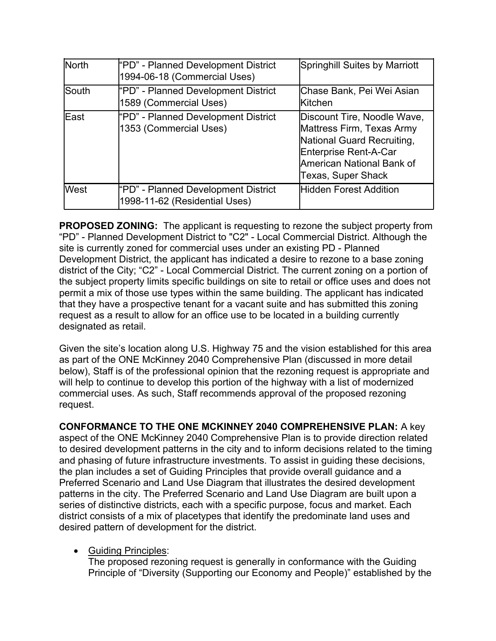| <b>North</b> | "PD" - Planned Development District<br>1994-06-18 (Commercial Uses)  | <b>Springhill Suites by Marriott</b>                                                                                                                               |
|--------------|----------------------------------------------------------------------|--------------------------------------------------------------------------------------------------------------------------------------------------------------------|
| lSouth       | "PD" - Planned Development District<br>1589 (Commercial Uses)        | Chase Bank, Pei Wei Asian<br><b>l</b> Kitchen                                                                                                                      |
| <b>IEast</b> | "PD" - Planned Development District<br>1353 (Commercial Uses)        | Discount Tire, Noodle Wave,<br>Mattress Firm, Texas Army<br>National Guard Recruiting,<br>Enterprise Rent-A-Car<br>American National Bank of<br>Texas, Super Shack |
| West         | "PD" - Planned Development District<br>1998-11-62 (Residential Uses) | <b>Hidden Forest Addition</b>                                                                                                                                      |

**PROPOSED ZONING:** The applicant is requesting to rezone the subject property from "PD" - Planned Development District to "C2" - Local Commercial District. Although the site is currently zoned for commercial uses under an existing PD - Planned Development District, the applicant has indicated a desire to rezone to a base zoning district of the City; "C2" - Local Commercial District. The current zoning on a portion of the subject property limits specific buildings on site to retail or office uses and does not permit a mix of those use types within the same building. The applicant has indicated that they have a prospective tenant for a vacant suite and has submitted this zoning request as a result to allow for an office use to be located in a building currently designated as retail.

Given the site's location along U.S. Highway 75 and the vision established for this area as part of the ONE McKinney 2040 Comprehensive Plan (discussed in more detail below), Staff is of the professional opinion that the rezoning request is appropriate and will help to continue to develop this portion of the highway with a list of modernized commercial uses. As such, Staff recommends approval of the proposed rezoning request.

**CONFORMANCE TO THE ONE MCKINNEY 2040 COMPREHENSIVE PLAN:** A key aspect of the ONE McKinney 2040 Comprehensive Plan is to provide direction related to desired development patterns in the city and to inform decisions related to the timing and phasing of future infrastructure investments. To assist in guiding these decisions, the plan includes a set of Guiding Principles that provide overall guidance and a Preferred Scenario and Land Use Diagram that illustrates the desired development patterns in the city. The Preferred Scenario and Land Use Diagram are built upon a series of distinctive districts, each with a specific purpose, focus and market. Each district consists of a mix of placetypes that identify the predominate land uses and desired pattern of development for the district.

· Guiding Principles:

The proposed rezoning request is generally in conformance with the Guiding Principle of "Diversity (Supporting our Economy and People)" established by the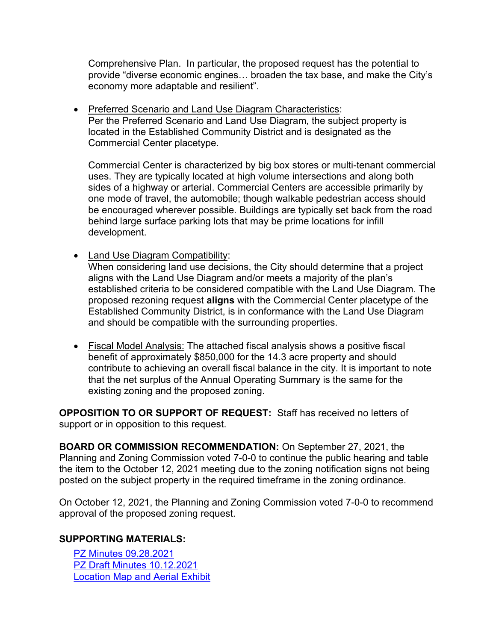Comprehensive Plan. In particular, the proposed request has the potential to provide "diverse economic engines… broaden the tax base, and make the City's economy more adaptable and resilient".

· Preferred Scenario and Land Use Diagram Characteristics: Per the Preferred Scenario and Land Use Diagram, the subject property is located in the Established Community District and is designated as the Commercial Center placetype.

Commercial Center is characterized by big box stores or multi-tenant commercial uses. They are typically located at high volume intersections and along both sides of a highway or arterial. Commercial Centers are accessible primarily by one mode of travel, the automobile; though walkable pedestrian access should be encouraged wherever possible. Buildings are typically set back from the road behind large surface parking lots that may be prime locations for infill development.

- · Land Use Diagram Compatibility: When considering land use decisions, the City should determine that a project aligns with the Land Use Diagram and/or meets a majority of the plan's established criteria to be considered compatible with the Land Use Diagram. The proposed rezoning request **aligns** with the Commercial Center placetype of the Established Community District, is in conformance with the Land Use Diagram and should be compatible with the surrounding properties.
- · Fiscal Model Analysis: The attached fiscal analysis shows a positive fiscal benefit of approximately \$850,000 for the 14.3 acre property and should contribute to achieving an overall fiscal balance in the city. It is important to note that the net surplus of the Annual Operating Summary is the same for the existing zoning and the proposed zoning.

**OPPOSITION TO OR SUPPORT OF REQUEST:** Staff has received no letters of support or in opposition to this request.

**BOARD OR COMMISSION RECOMMENDATION:** On September 27, 2021, the Planning and Zoning Commission voted 7-0-0 to continue the public hearing and table the item to the October 12, 2021 meeting due to the zoning notification signs not being posted on the subject property in the required timeframe in the zoning ordinance.

On October 12, 2021, the Planning and Zoning Commission voted 7-0-0 to recommend approval of the proposed zoning request.

## **SUPPORTING MATERIALS:**

[PZ Minutes 09.28.2021](View.ashx?M=F&ID=9891169&GUID=B364F37B-71B8-4ECF-9479-7D6F50F8DD1C) [PZ Draft Minutes 10.12.2021](View.ashx?M=F&ID=9891170&GUID=0255AD9D-EF1B-420F-ABC9-AF8FDECEBFB8) [Location Map and Aerial Exhibit](View.ashx?M=F&ID=9891171&GUID=CEFC1D65-674C-42C5-95FB-067B5032FAD5)